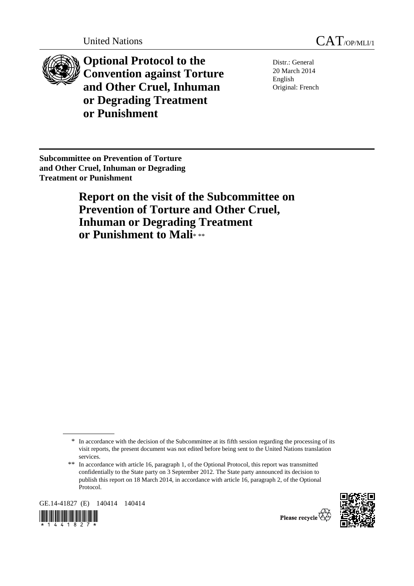

**Optional Protocol to the Convention against Torture and Other Cruel, Inhuman or Degrading Treatment or Punishment** 

Distr.: General 20 March 2014 English Original: French

**Subcommittee on Prevention of Torture and Other Cruel, Inhuman or Degrading Treatment or Punishment** 

> **Report on the visit of the Subcommittee on Prevention of Torture and Other Cruel, Inhuman or Degrading Treatment or Punishment to Mali**\* \*\*

GE.14-41827 (E) 140414 140414





<sup>\*</sup> In accordance with the decision of the Subcommittee at its fifth session regarding the processing of its visit reports, the present document was not edited before being sent to the United Nations translation services.

<sup>\*\*</sup> In accordance with article 16, paragraph 1, of the Optional Protocol, this report was transmitted confidentially to the State party on 3 September 2012. The State party announced its decision to publish this report on 18 March 2014, in accordance with article 16, paragraph 2, of the Optional Protocol.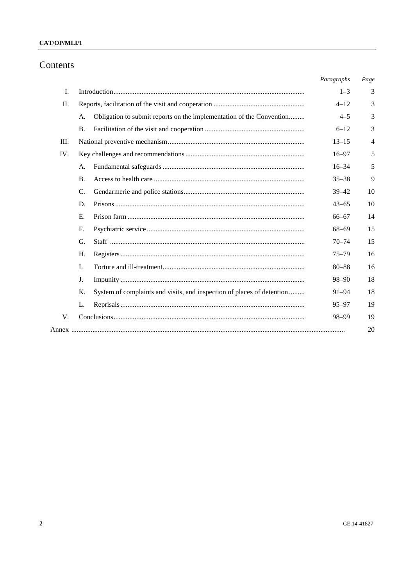## CAT/OP/MLI/1

# Contents

|      |                                                                              | Paragraphs | Page |
|------|------------------------------------------------------------------------------|------------|------|
| I.   |                                                                              | $1 - 3$    | 3    |
| Π.   |                                                                              | $4 - 12$   | 3    |
|      | Obligation to submit reports on the implementation of the Convention<br>A.   | $4 - 5$    | 3    |
|      | <b>B.</b>                                                                    | $6 - 12$   | 3    |
| III. |                                                                              | $13 - 15$  | 4    |
| IV.  |                                                                              | $16 - 97$  | 5    |
|      | A.                                                                           | $16 - 34$  | 5    |
|      | B.                                                                           | $35 - 38$  | 9    |
|      | C.                                                                           | $39 - 42$  | 10   |
|      | D.                                                                           | $43 - 65$  | 10   |
|      | E.                                                                           | $66 - 67$  | 14   |
|      | $F_{\cdot}$                                                                  | $68 - 69$  | 15   |
|      | G.                                                                           | $70 - 74$  | 15   |
|      | H.                                                                           | $75 - 79$  | 16   |
|      | I.                                                                           | $80 - 88$  | 16   |
|      | J.                                                                           | $98 - 90$  | 18   |
|      | Κ.<br>System of complaints and visits, and inspection of places of detention | $91 - 94$  | 18   |
|      | L.                                                                           | $95 - 97$  | 19   |
| V.   |                                                                              | 98-99      | 19   |
|      |                                                                              |            | 20   |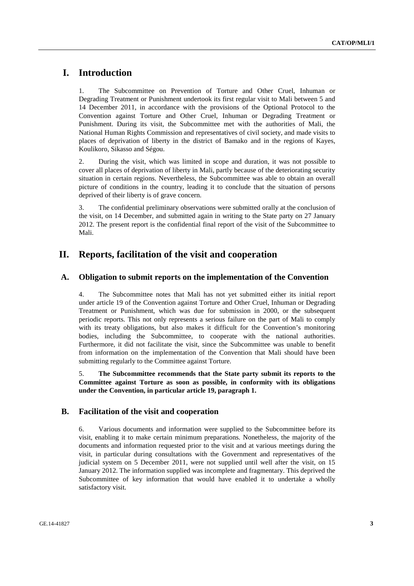# **I. Introduction**

1. The Subcommittee on Prevention of Torture and Other Cruel, Inhuman or Degrading Treatment or Punishment undertook its first regular visit to Mali between 5 and 14 December 2011, in accordance with the provisions of the Optional Protocol to the Convention against Torture and Other Cruel, Inhuman or Degrading Treatment or Punishment. During its visit, the Subcommittee met with the authorities of Mali, the National Human Rights Commission and representatives of civil society, and made visits to places of deprivation of liberty in the district of Bamako and in the regions of Kayes, Koulikoro, Sikasso and Ségou.

2. During the visit, which was limited in scope and duration, it was not possible to cover all places of deprivation of liberty in Mali, partly because of the deteriorating security situation in certain regions. Nevertheless, the Subcommittee was able to obtain an overall picture of conditions in the country, leading it to conclude that the situation of persons deprived of their liberty is of grave concern.

3. The confidential preliminary observations were submitted orally at the conclusion of the visit, on 14 December, and submitted again in writing to the State party on 27 January 2012. The present report is the confidential final report of the visit of the Subcommittee to Mali.

# **II. Reports, facilitation of the visit and cooperation**

## **A. Obligation to submit reports on the implementation of the Convention**

4. The Subcommittee notes that Mali has not yet submitted either its initial report under article 19 of the Convention against Torture and Other Cruel, Inhuman or Degrading Treatment or Punishment, which was due for submission in 2000, or the subsequent periodic reports. This not only represents a serious failure on the part of Mali to comply with its treaty obligations, but also makes it difficult for the Convention's monitoring bodies, including the Subcommittee, to cooperate with the national authorities. Furthermore, it did not facilitate the visit, since the Subcommittee was unable to benefit from information on the implementation of the Convention that Mali should have been submitting regularly to the Committee against Torture.

5. **The Subcommittee recommends that the State party submit its reports to the Committee against Torture as soon as possible, in conformity with its obligations under the Convention, in particular article 19, paragraph 1.** 

### **B. Facilitation of the visit and cooperation**

6. Various documents and information were supplied to the Subcommittee before its visit, enabling it to make certain minimum preparations. Nonetheless, the majority of the documents and information requested prior to the visit and at various meetings during the visit, in particular during consultations with the Government and representatives of the judicial system on 5 December 2011, were not supplied until well after the visit, on 15 January 2012. The information supplied was incomplete and fragmentary. This deprived the Subcommittee of key information that would have enabled it to undertake a wholly satisfactory visit.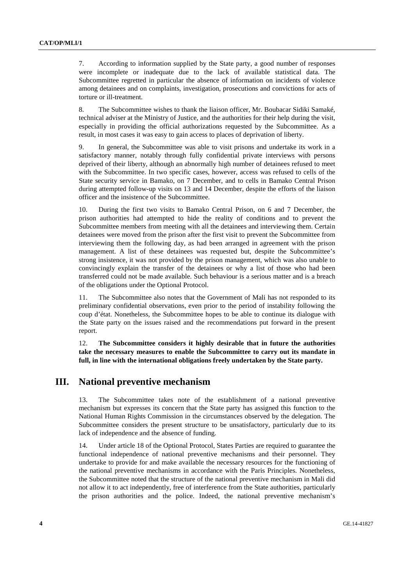7. According to information supplied by the State party, a good number of responses were incomplete or inadequate due to the lack of available statistical data. The Subcommittee regretted in particular the absence of information on incidents of violence among detainees and on complaints, investigation, prosecutions and convictions for acts of torture or ill-treatment.

8. The Subcommittee wishes to thank the liaison officer, Mr. Boubacar Sidiki Samaké, technical adviser at the Ministry of Justice, and the authorities for their help during the visit, especially in providing the official authorizations requested by the Subcommittee. As a result, in most cases it was easy to gain access to places of deprivation of liberty.

9. In general, the Subcommittee was able to visit prisons and undertake its work in a satisfactory manner, notably through fully confidential private interviews with persons deprived of their liberty, although an abnormally high number of detainees refused to meet with the Subcommittee. In two specific cases, however, access was refused to cells of the State security service in Bamako, on 7 December, and to cells in Bamako Central Prison during attempted follow-up visits on 13 and 14 December, despite the efforts of the liaison officer and the insistence of the Subcommittee.

10. During the first two visits to Bamako Central Prison, on 6 and 7 December, the prison authorities had attempted to hide the reality of conditions and to prevent the Subcommittee members from meeting with all the detainees and interviewing them. Certain detainees were moved from the prison after the first visit to prevent the Subcommittee from interviewing them the following day, as had been arranged in agreement with the prison management. A list of these detainees was requested but, despite the Subcommittee's strong insistence, it was not provided by the prison management, which was also unable to convincingly explain the transfer of the detainees or why a list of those who had been transferred could not be made available. Such behaviour is a serious matter and is a breach of the obligations under the Optional Protocol.

11. The Subcommittee also notes that the Government of Mali has not responded to its preliminary confidential observations, even prior to the period of instability following the coup d'état. Nonetheless, the Subcommittee hopes to be able to continue its dialogue with the State party on the issues raised and the recommendations put forward in the present report.

12. **The Subcommittee considers it highly desirable that in future the authorities take the necessary measures to enable the Subcommittee to carry out its mandate in full, in line with the international obligations freely undertaken by the State party.** 

## **III. National preventive mechanism**

13. The Subcommittee takes note of the establishment of a national preventive mechanism but expresses its concern that the State party has assigned this function to the National Human Rights Commission in the circumstances observed by the delegation. The Subcommittee considers the present structure to be unsatisfactory, particularly due to its lack of independence and the absence of funding.

14. Under article 18 of the Optional Protocol, States Parties are required to guarantee the functional independence of national preventive mechanisms and their personnel. They undertake to provide for and make available the necessary resources for the functioning of the national preventive mechanisms in accordance with the Paris Principles. Nonetheless, the Subcommittee noted that the structure of the national preventive mechanism in Mali did not allow it to act independently, free of interference from the State authorities, particularly the prison authorities and the police. Indeed, the national preventive mechanism's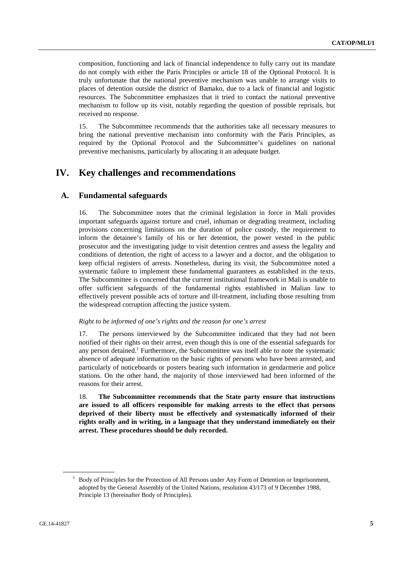composition, functioning and lack of financial independence to fully carry out its mandate do not comply with either the Paris Principles or article 18 of the Optional Protocol. It is truly unfortunate that the national preventive mechanism was unable to arrange visits to places of detention outside the district of Bamako, due to a lack of financial and logistic resources. The Subcommittee emphasizes that it tried to contact the national preventive mechanism to follow up its visit, notably regarding the question of possible reprisals, but received no response.

15. The Subcommittee recommends that the authorities take all necessary measures to bring the national preventive mechanism into conformity with the Paris Principles, as required by the Optional Protocol and the Subcommittee's guidelines on national preventive mechanisms, particularly by allocating it an adequate budget.

# **IV. Key challenges and recommendations**

## **A. Fundamental safeguards**

16. The Subcommittee notes that the criminal legislation in force in Mali provides important safeguards against torture and cruel, inhuman or degrading treatment, including provisions concerning limitations on the duration of police custody, the requirement to inform the detainee's family of his or her detention, the power vested in the public prosecutor and the investigating judge to visit detention centres and assess the legality and conditions of detention, the right of access to a lawyer and a doctor, and the obligation to keep official registers of arrests. Nonetheless, during its visit, the Subcommittee noted a systematic failure to implement these fundamental guarantees as established in the texts. The Subcommittee is concerned that the current institutional framework in Mali is unable to offer sufficient safeguards of the fundamental rights established in Malian law to effectively prevent possible acts of torture and ill-treatment, including those resulting from the widespread corruption affecting the justice system.

#### *Right to be informed of one's rights and the reason for one's arrest*

17. The persons interviewed by the Subcommittee indicated that they had not been notified of their rights on their arrest, even though this is one of the essential safeguards for any person detained.<sup>1</sup> Furthermore, the Subcommittee was itself able to note the systematic absence of adequate information on the basic rights of persons who have been arrested, and particularly of noticeboards or posters bearing such information in gendarmerie and police stations. On the other hand, the majority of those interviewed had been informed of the reasons for their arrest.

18. **The Subcommittee recommends that the State party ensure that instructions are issued to all officers responsible for making arrests to the effect that persons deprived of their liberty must be effectively and systematically informed of their rights orally and in writing, in a language that they understand immediately on their arrest. These procedures should be duly recorded.** 

<sup>&</sup>lt;sup>1</sup> Body of Principles for the Protection of All Persons under Any Form of Detention or Imprisonment, adopted by the General Assembly of the United Nations, resolution 43/173 of 9 December 1988, Principle 13 (hereinafter Body of Principles).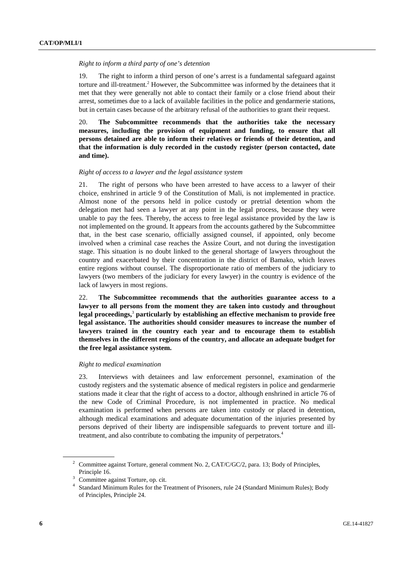#### *Right to inform a third party of one's detention*

19. The right to inform a third person of one's arrest is a fundamental safeguard against torture and ill-treatment.<sup>2</sup> However, the Subcommittee was informed by the detainees that it met that they were generally not able to contact their family or a close friend about their arrest, sometimes due to a lack of available facilities in the police and gendarmerie stations, but in certain cases because of the arbitrary refusal of the authorities to grant their request.

20. **The Subcommittee recommends that the authorities take the necessary measures, including the provision of equipment and funding, to ensure that all persons detained are able to inform their relatives or friends of their detention, and that the information is duly recorded in the custody register (person contacted, date and time).** 

### *Right of access to a lawyer and the legal assistance system*

21. The right of persons who have been arrested to have access to a lawyer of their choice, enshrined in article 9 of the Constitution of Mali, is not implemented in practice. Almost none of the persons held in police custody or pretrial detention whom the delegation met had seen a lawyer at any point in the legal process, because they were unable to pay the fees. Thereby, the access to free legal assistance provided by the law is not implemented on the ground. It appears from the accounts gathered by the Subcommittee that, in the best case scenario, officially assigned counsel, if appointed, only become involved when a criminal case reaches the Assize Court, and not during the investigation stage. This situation is no doubt linked to the general shortage of lawyers throughout the country and exacerbated by their concentration in the district of Bamako, which leaves entire regions without counsel. The disproportionate ratio of members of the judiciary to lawyers (two members of the judiciary for every lawyer) in the country is evidence of the lack of lawyers in most regions.

22. **The Subcommittee recommends that the authorities guarantee access to a lawyer to all persons from the moment they are taken into custody and throughout legal proceedings,**<sup>3</sup>  **particularly by establishing an effective mechanism to provide free legal assistance. The authorities should consider measures to increase the number of lawyers trained in the country each year and to encourage them to establish themselves in the different regions of the country, and allocate an adequate budget for the free legal assistance system.** 

#### *Right to medical examination*

23. Interviews with detainees and law enforcement personnel, examination of the custody registers and the systematic absence of medical registers in police and gendarmerie stations made it clear that the right of access to a doctor, although enshrined in article 76 of the new Code of Criminal Procedure, is not implemented in practice. No medical examination is performed when persons are taken into custody or placed in detention, although medical examinations and adequate documentation of the injuries presented by persons deprived of their liberty are indispensible safeguards to prevent torture and illtreatment, and also contribute to combating the impunity of perpetrators.4

<sup>&</sup>lt;sup>2</sup> Committee against Torture, general comment No. 2, CAT/C/GC/2, para. 13; Body of Principles, Principle 16.

Committee against Torture, op. cit.

<sup>&</sup>lt;sup>4</sup> Standard Minimum Rules for the Treatment of Prisoners, rule 24 (Standard Minimum Rules); Body of Principles, Principle 24.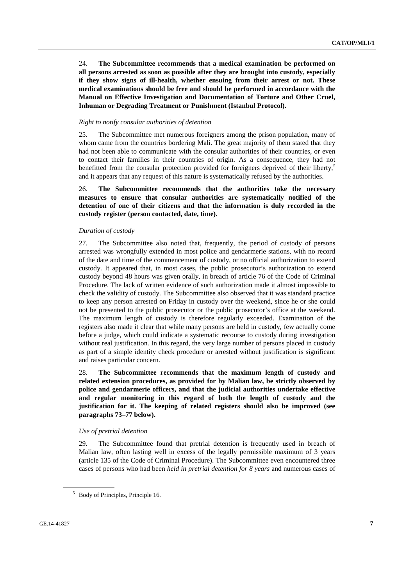24. **The Subcommittee recommends that a medical examination be performed on all persons arrested as soon as possible after they are brought into custody, especially if they show signs of ill-health, whether ensuing from their arrest or not. These medical examinations should be free and should be performed in accordance with the Manual on Effective Investigation and Documentation of Torture and Other Cruel, Inhuman or Degrading Treatment or Punishment (Istanbul Protocol).** 

#### *Right to notify consular authorities of detention*

25. The Subcommittee met numerous foreigners among the prison population, many of whom came from the countries bordering Mali. The great majority of them stated that they had not been able to communicate with the consular authorities of their countries, or even to contact their families in their countries of origin. As a consequence, they had not benefitted from the consular protection provided for foreigners deprived of their liberty.<sup>5</sup> and it appears that any request of this nature is systematically refused by the authorities.

26. **The Subcommittee recommends that the authorities take the necessary measures to ensure that consular authorities are systematically notified of the detention of one of their citizens and that the information is duly recorded in the custody register (person contacted, date, time).** 

### *Duration of custody*

27. The Subcommittee also noted that, frequently, the period of custody of persons arrested was wrongfully extended in most police and gendarmerie stations, with no record of the date and time of the commencement of custody, or no official authorization to extend custody. It appeared that, in most cases, the public prosecutor's authorization to extend custody beyond 48 hours was given orally, in breach of article 76 of the Code of Criminal Procedure. The lack of written evidence of such authorization made it almost impossible to check the validity of custody. The Subcommittee also observed that it was standard practice to keep any person arrested on Friday in custody over the weekend, since he or she could not be presented to the public prosecutor or the public prosecutor's office at the weekend. The maximum length of custody is therefore regularly exceeded. Examination of the registers also made it clear that while many persons are held in custody, few actually come before a judge, which could indicate a systematic recourse to custody during investigation without real justification. In this regard, the very large number of persons placed in custody as part of a simple identity check procedure or arrested without justification is significant and raises particular concern.

28. **The Subcommittee recommends that the maximum length of custody and related extension procedures, as provided for by Malian law, be strictly observed by police and gendarmerie officers, and that the judicial authorities undertake effective and regular monitoring in this regard of both the length of custody and the justification for it. The keeping of related registers should also be improved (see paragraphs 73–77 below).** 

#### *Use of pretrial detention*

29. The Subcommittee found that pretrial detention is frequently used in breach of Malian law, often lasting well in excess of the legally permissible maximum of 3 years (article 135 of the Code of Criminal Procedure). The Subcommittee even encountered three cases of persons who had been *held in pretrial detention for 8 years* and numerous cases of

<sup>&</sup>lt;sup>5</sup> Body of Principles, Principle 16.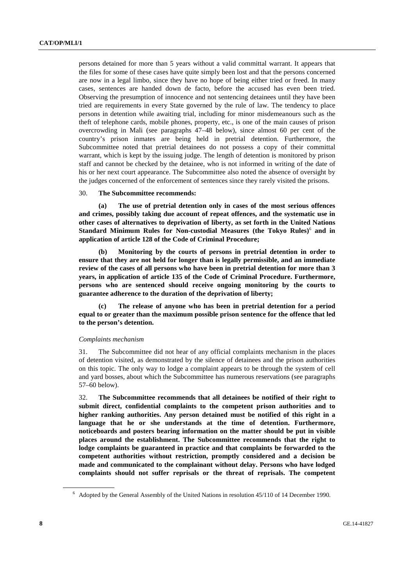persons detained for more than 5 years without a valid committal warrant. It appears that the files for some of these cases have quite simply been lost and that the persons concerned are now in a legal limbo, since they have no hope of being either tried or freed. In many cases, sentences are handed down de facto, before the accused has even been tried. Observing the presumption of innocence and not sentencing detainees until they have been tried are requirements in every State governed by the rule of law. The tendency to place persons in detention while awaiting trial, including for minor misdemeanours such as the theft of telephone cards, mobile phones, property, etc., is one of the main causes of prison overcrowding in Mali (see paragraphs 47–48 below), since almost 60 per cent of the country's prison inmates are being held in pretrial detention. Furthermore, the Subcommittee noted that pretrial detainees do not possess a copy of their committal warrant, which is kept by the issuing judge. The length of detention is monitored by prison staff and cannot be checked by the detainee, who is not informed in writing of the date of his or her next court appearance. The Subcommittee also noted the absence of oversight by the judges concerned of the enforcement of sentences since they rarely visited the prisons.

#### 30. **The Subcommittee recommends:**

 **(a) The use of pretrial detention only in cases of the most serious offences and crimes, possibly taking due account of repeat offences, and the systematic use in other cases of alternatives to deprivation of liberty, as set forth in the United Nations**  Standard Minimum Rules for Non-custodial Measures (the Tokyo Rules)<sup>6</sup> and in **application of article 128 of the Code of Criminal Procedure;** 

 **(b) Monitoring by the courts of persons in pretrial detention in order to ensure that they are not held for longer than is legally permissible, and an immediate review of the cases of all persons who have been in pretrial detention for more than 3 years, in application of article 135 of the Code of Criminal Procedure. Furthermore, persons who are sentenced should receive ongoing monitoring by the courts to guarantee adherence to the duration of the deprivation of liberty;** 

 **(c) The release of anyone who has been in pretrial detention for a period equal to or greater than the maximum possible prison sentence for the offence that led to the person's detention.** 

#### *Complaints mechanism*

31. The Subcommittee did not hear of any official complaints mechanism in the places of detention visited, as demonstrated by the silence of detainees and the prison authorities on this topic. The only way to lodge a complaint appears to be through the system of cell and yard bosses, about which the Subcommittee has numerous reservations (see paragraphs 57–60 below).

32. **The Subcommittee recommends that all detainees be notified of their right to submit direct, confidential complaints to the competent prison authorities and to higher ranking authorities. Any person detained must be notified of this right in a language that he or she understands at the time of detention. Furthermore, noticeboards and posters bearing information on the matter should be put in visible places around the establishment. The Subcommittee recommends that the right to lodge complaints be guaranteed in practice and that complaints be forwarded to the competent authorities without restriction, promptly considered and a decision be made and communicated to the complainant without delay. Persons who have lodged complaints should not suffer reprisals or the threat of reprisals. The competent** 

<sup>&</sup>lt;sup>6</sup> Adopted by the General Assembly of the United Nations in resolution 45/110 of 14 December 1990.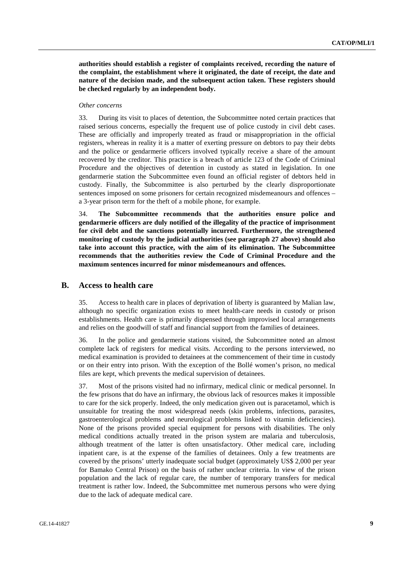**authorities should establish a register of complaints received, recording the nature of the complaint, the establishment where it originated, the date of receipt, the date and nature of the decision made, and the subsequent action taken. These registers should be checked regularly by an independent body.** 

### *Other concerns*

33. During its visit to places of detention, the Subcommittee noted certain practices that raised serious concerns, especially the frequent use of police custody in civil debt cases. These are officially and improperly treated as fraud or misappropriation in the official registers, whereas in reality it is a matter of exerting pressure on debtors to pay their debts and the police or gendarmerie officers involved typically receive a share of the amount recovered by the creditor. This practice is a breach of article 123 of the Code of Criminal Procedure and the objectives of detention in custody as stated in legislation. In one gendarmerie station the Subcommittee even found an official register of debtors held in custody. Finally, the Subcommittee is also perturbed by the clearly disproportionate sentences imposed on some prisoners for certain recognized misdemeanours and offences – a 3-year prison term for the theft of a mobile phone, for example.

34. **The Subcommittee recommends that the authorities ensure police and gendarmerie officers are duly notified of the illegality of the practice of imprisonment for civil debt and the sanctions potentially incurred. Furthermore, the strengthened monitoring of custody by the judicial authorities (see paragraph 27 above) should also take into account this practice, with the aim of its elimination. The Subcommittee recommends that the authorities review the Code of Criminal Procedure and the maximum sentences incurred for minor misdemeanours and offences.** 

### **B. Access to health care**

35. Access to health care in places of deprivation of liberty is guaranteed by Malian law, although no specific organization exists to meet health-care needs in custody or prison establishments. Health care is primarily dispensed through improvised local arrangements and relies on the goodwill of staff and financial support from the families of detainees.

36. In the police and gendarmerie stations visited, the Subcommittee noted an almost complete lack of registers for medical visits. According to the persons interviewed, no medical examination is provided to detainees at the commencement of their time in custody or on their entry into prison. With the exception of the Bollé women's prison, no medical files are kept, which prevents the medical supervision of detainees.

37. Most of the prisons visited had no infirmary, medical clinic or medical personnel. In the few prisons that do have an infirmary, the obvious lack of resources makes it impossible to care for the sick properly. Indeed, the only medication given out is paracetamol, which is unsuitable for treating the most widespread needs (skin problems, infections, parasites, gastroenterological problems and neurological problems linked to vitamin deficiencies). None of the prisons provided special equipment for persons with disabilities. The only medical conditions actually treated in the prison system are malaria and tuberculosis, although treatment of the latter is often unsatisfactory. Other medical care, including inpatient care, is at the expense of the families of detainees. Only a few treatments are covered by the prisons' utterly inadequate social budget (approximately US\$ 2,000 per year for Bamako Central Prison) on the basis of rather unclear criteria. In view of the prison population and the lack of regular care, the number of temporary transfers for medical treatment is rather low. Indeed, the Subcommittee met numerous persons who were dying due to the lack of adequate medical care.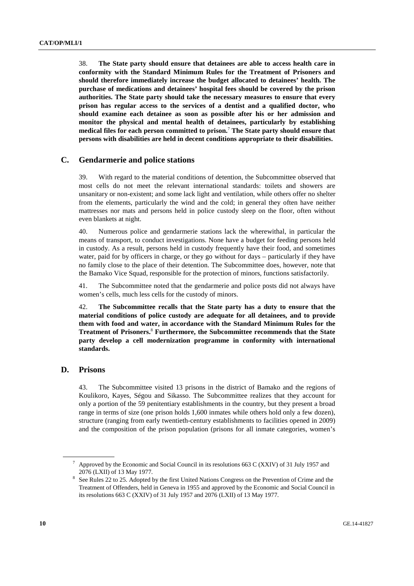38. **The State party should ensure that detainees are able to access health care in conformity with the Standard Minimum Rules for the Treatment of Prisoners and should therefore immediately increase the budget allocated to detainees' health. The purchase of medications and detainees' hospital fees should be covered by the prison authorities. The State party should take the necessary measures to ensure that every prison has regular access to the services of a dentist and a qualified doctor, who should examine each detainee as soon as possible after his or her admission and monitor the physical and mental health of detainees, particularly by establishing medical files for each person committed to prison.**<sup>7</sup>  **The State party should ensure that persons with disabilities are held in decent conditions appropriate to their disabilities.** 

### **C. Gendarmerie and police stations**

39. With regard to the material conditions of detention, the Subcommittee observed that most cells do not meet the relevant international standards: toilets and showers are unsanitary or non-existent; and some lack light and ventilation, while others offer no shelter from the elements, particularly the wind and the cold; in general they often have neither mattresses nor mats and persons held in police custody sleep on the floor, often without even blankets at night.

40. Numerous police and gendarmerie stations lack the wherewithal, in particular the means of transport, to conduct investigations. None have a budget for feeding persons held in custody. As a result, persons held in custody frequently have their food, and sometimes water, paid for by officers in charge, or they go without for days – particularly if they have no family close to the place of their detention. The Subcommittee does, however, note that the Bamako Vice Squad, responsible for the protection of minors, functions satisfactorily.

41. The Subcommittee noted that the gendarmerie and police posts did not always have women's cells, much less cells for the custody of minors.

42. **The Subcommittee recalls that the State party has a duty to ensure that the material conditions of police custody are adequate for all detainees, and to provide them with food and water, in accordance with the Standard Minimum Rules for the Treatment of Prisoners.**<sup>8</sup>  **Furthermore, the Subcommittee recommends that the State party develop a cell modernization programme in conformity with international standards.** 

### **D. Prisons**

43. The Subcommittee visited 13 prisons in the district of Bamako and the regions of Koulikoro, Kayes, Ségou and Sikasso. The Subcommittee realizes that they account for only a portion of the 59 penitentiary establishments in the country, but they present a broad range in terms of size (one prison holds 1,600 inmates while others hold only a few dozen), structure (ranging from early twentieth-century establishments to facilities opened in 2009) and the composition of the prison population (prisons for all inmate categories, women's

<sup>7</sup> Approved by the Economic and Social Council in its resolutions 663 C (XXIV) of 31 July 1957 and 2076 (LXII) of 13 May 1977.

See Rules 22 to 25. Adopted by the first United Nations Congress on the Prevention of Crime and the Treatment of Offenders, held in Geneva in 1955 and approved by the Economic and Social Council in its resolutions 663 C (XXIV) of 31 July 1957 and 2076 (LXII) of 13 May 1977.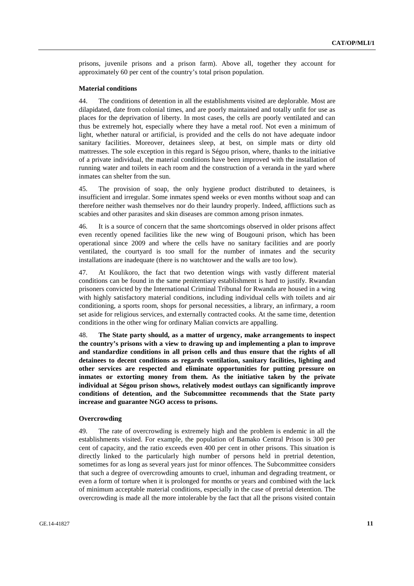prisons, juvenile prisons and a prison farm). Above all, together they account for approximately 60 per cent of the country's total prison population.

### **Material conditions**

44. The conditions of detention in all the establishments visited are deplorable. Most are dilapidated, date from colonial times, and are poorly maintained and totally unfit for use as places for the deprivation of liberty. In most cases, the cells are poorly ventilated and can thus be extremely hot, especially where they have a metal roof. Not even a minimum of light, whether natural or artificial, is provided and the cells do not have adequate indoor sanitary facilities. Moreover, detainees sleep, at best, on simple mats or dirty old mattresses. The sole exception in this regard is Ségou prison, where, thanks to the initiative of a private individual, the material conditions have been improved with the installation of running water and toilets in each room and the construction of a veranda in the yard where inmates can shelter from the sun.

45. The provision of soap, the only hygiene product distributed to detainees, is insufficient and irregular. Some inmates spend weeks or even months without soap and can therefore neither wash themselves nor do their laundry properly. Indeed, afflictions such as scabies and other parasites and skin diseases are common among prison inmates.

46. It is a source of concern that the same shortcomings observed in older prisons affect even recently opened facilities like the new wing of Bougouni prison, which has been operational since 2009 and where the cells have no sanitary facilities and are poorly ventilated, the courtyard is too small for the number of inmates and the security installations are inadequate (there is no watchtower and the walls are too low).

47. At Koulikoro, the fact that two detention wings with vastly different material conditions can be found in the same penitentiary establishment is hard to justify. Rwandan prisoners convicted by the International Criminal Tribunal for Rwanda are housed in a wing with highly satisfactory material conditions, including individual cells with toilets and air conditioning, a sports room, shops for personal necessities, a library, an infirmary, a room set aside for religious services, and externally contracted cooks. At the same time, detention conditions in the other wing for ordinary Malian convicts are appalling.

48. **The State party should, as a matter of urgency, make arrangements to inspect the country's prisons with a view to drawing up and implementing a plan to improve and standardize conditions in all prison cells and thus ensure that the rights of all detainees to decent conditions as regards ventilation, sanitary facilities, lighting and other services are respected and eliminate opportunities for putting pressure on inmates or extorting money from them. As the initiative taken by the private individual at Ségou prison shows, relatively modest outlays can significantly improve conditions of detention, and the Subcommittee recommends that the State party increase and guarantee NGO access to prisons.** 

#### **Overcrowding**

49. The rate of overcrowding is extremely high and the problem is endemic in all the establishments visited. For example, the population of Bamako Central Prison is 300 per cent of capacity, and the ratio exceeds even 400 per cent in other prisons. This situation is directly linked to the particularly high number of persons held in pretrial detention, sometimes for as long as several years just for minor offences. The Subcommittee considers that such a degree of overcrowding amounts to cruel, inhuman and degrading treatment, or even a form of torture when it is prolonged for months or years and combined with the lack of minimum acceptable material conditions, especially in the case of pretrial detention. The overcrowding is made all the more intolerable by the fact that all the prisons visited contain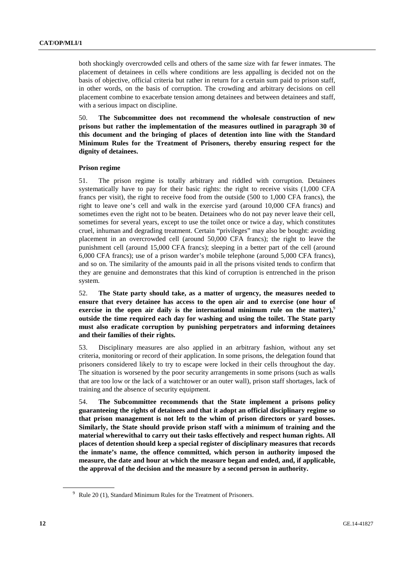both shockingly overcrowded cells and others of the same size with far fewer inmates. The placement of detainees in cells where conditions are less appalling is decided not on the basis of objective, official criteria but rather in return for a certain sum paid to prison staff, in other words, on the basis of corruption. The crowding and arbitrary decisions on cell placement combine to exacerbate tension among detainees and between detainees and staff, with a serious impact on discipline.

50. **The Subcommittee does not recommend the wholesale construction of new prisons but rather the implementation of the measures outlined in paragraph 30 of this document and the bringing of places of detention into line with the Standard Minimum Rules for the Treatment of Prisoners, thereby ensuring respect for the dignity of detainees.** 

#### **Prison regime**

51. The prison regime is totally arbitrary and riddled with corruption. Detainees systematically have to pay for their basic rights: the right to receive visits (1,000 CFA francs per visit), the right to receive food from the outside (500 to 1,000 CFA francs), the right to leave one's cell and walk in the exercise yard (around 10,000 CFA francs) and sometimes even the right not to be beaten. Detainees who do not pay never leave their cell, sometimes for several years, except to use the toilet once or twice a day, which constitutes cruel, inhuman and degrading treatment. Certain "privileges" may also be bought: avoiding placement in an overcrowded cell (around 50,000 CFA francs); the right to leave the punishment cell (around 15,000 CFA francs); sleeping in a better part of the cell (around 6,000 CFA francs); use of a prison warder's mobile telephone (around 5,000 CFA francs), and so on. The similarity of the amounts paid in all the prisons visited tends to confirm that they are genuine and demonstrates that this kind of corruption is entrenched in the prison system.

52. **The State party should take, as a matter of urgency, the measures needed to ensure that every detainee has access to the open air and to exercise (one hour of exercise in the open air daily is the international minimum rule on the matter),**<sup>9</sup> **outside the time required each day for washing and using the toilet. The State party must also eradicate corruption by punishing perpetrators and informing detainees and their families of their rights.** 

53. Disciplinary measures are also applied in an arbitrary fashion, without any set criteria, monitoring or record of their application. In some prisons, the delegation found that prisoners considered likely to try to escape were locked in their cells throughout the day. The situation is worsened by the poor security arrangements in some prisons (such as walls that are too low or the lack of a watchtower or an outer wall), prison staff shortages, lack of training and the absence of security equipment.

54. **The Subcommittee recommends that the State implement a prisons policy guaranteeing the rights of detainees and that it adopt an official disciplinary regime so that prison management is not left to the whim of prison directors or yard bosses. Similarly, the State should provide prison staff with a minimum of training and the material wherewithal to carry out their tasks effectively and respect human rights. All places of detention should keep a special register of disciplinary measures that records the inmate's name, the offence committed, which person in authority imposed the measure, the date and hour at which the measure began and ended, and, if applicable, the approval of the decision and the measure by a second person in authority.** 

<sup>&</sup>lt;sup>9</sup> Rule 20 (1), Standard Minimum Rules for the Treatment of Prisoners.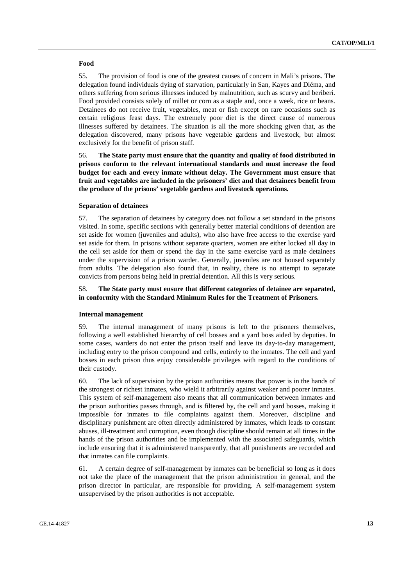### **Food**

55. The provision of food is one of the greatest causes of concern in Mali's prisons. The delegation found individuals dying of starvation, particularly in San, Kayes and Diéma, and others suffering from serious illnesses induced by malnutrition, such as scurvy and beriberi. Food provided consists solely of millet or corn as a staple and, once a week, rice or beans. Detainees do not receive fruit, vegetables, meat or fish except on rare occasions such as certain religious feast days. The extremely poor diet is the direct cause of numerous illnesses suffered by detainees. The situation is all the more shocking given that, as the delegation discovered, many prisons have vegetable gardens and livestock, but almost exclusively for the benefit of prison staff.

56. **The State party must ensure that the quantity and quality of food distributed in prisons conform to the relevant international standards and must increase the food budget for each and every inmate without delay. The Government must ensure that fruit and vegetables are included in the prisoners' diet and that detainees benefit from the produce of the prisons' vegetable gardens and livestock operations.** 

### **Separation of detainees**

57. The separation of detainees by category does not follow a set standard in the prisons visited. In some, specific sections with generally better material conditions of detention are set aside for women (juveniles and adults), who also have free access to the exercise yard set aside for them. In prisons without separate quarters, women are either locked all day in the cell set aside for them or spend the day in the same exercise yard as male detainees under the supervision of a prison warder. Generally, juveniles are not housed separately from adults. The delegation also found that, in reality, there is no attempt to separate convicts from persons being held in pretrial detention. All this is very serious.

### 58. **The State party must ensure that different categories of detainee are separated, in conformity with the Standard Minimum Rules for the Treatment of Prisoners.**

### **Internal management**

59. The internal management of many prisons is left to the prisoners themselves, following a well established hierarchy of cell bosses and a yard boss aided by deputies. In some cases, warders do not enter the prison itself and leave its day-to-day management, including entry to the prison compound and cells, entirely to the inmates. The cell and yard bosses in each prison thus enjoy considerable privileges with regard to the conditions of their custody.

60. The lack of supervision by the prison authorities means that power is in the hands of the strongest or richest inmates, who wield it arbitrarily against weaker and poorer inmates. This system of self-management also means that all communication between inmates and the prison authorities passes through, and is filtered by, the cell and yard bosses, making it impossible for inmates to file complaints against them. Moreover, discipline and disciplinary punishment are often directly administered by inmates, which leads to constant abuses, ill-treatment and corruption, even though discipline should remain at all times in the hands of the prison authorities and be implemented with the associated safeguards, which include ensuring that it is administered transparently, that all punishments are recorded and that inmates can file complaints.

61. A certain degree of self-management by inmates can be beneficial so long as it does not take the place of the management that the prison administration in general, and the prison director in particular, are responsible for providing. A self-management system unsupervised by the prison authorities is not acceptable.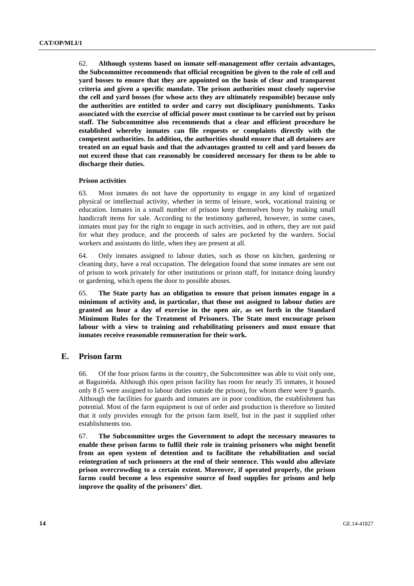62. **Although systems based on inmate self-management offer certain advantages, the Subcommittee recommends that official recognition be given to the role of cell and yard bosses to ensure that they are appointed on the basis of clear and transparent criteria and given a specific mandate. The prison authorities must closely supervise the cell and yard bosses (for whose acts they are ultimately responsible) because only the authorities are entitled to order and carry out disciplinary punishments. Tasks associated with the exercise of official power must continue to be carried out by prison staff. The Subcommittee also recommends that a clear and efficient procedure be established whereby inmates can file requests or complaints directly with the competent authorities. In addition, the authorities should ensure that all detainees are treated on an equal basis and that the advantages granted to cell and yard bosses do not exceed those that can reasonably be considered necessary for them to be able to discharge their duties.** 

#### **Prison activities**

63. Most inmates do not have the opportunity to engage in any kind of organized physical or intellectual activity, whether in terms of leisure, work, vocational training or education. Inmates in a small number of prisons keep themselves busy by making small handicraft items for sale. According to the testimony gathered, however, in some cases, inmates must pay for the right to engage in such activities, and in others, they are not paid for what they produce, and the proceeds of sales are pocketed by the warders. Social workers and assistants do little, when they are present at all.

64. Only inmates assigned to labour duties, such as those on kitchen, gardening or cleaning duty, have a real occupation. The delegation found that some inmates are sent out of prison to work privately for other institutions or prison staff, for instance doing laundry or gardening, which opens the door to possible abuses.

65. **The State party has an obligation to ensure that prison inmates engage in a minimum of activity and, in particular, that those not assigned to labour duties are granted an hour a day of exercise in the open air, as set forth in the Standard Minimum Rules for the Treatment of Prisoners. The State must encourage prison labour with a view to training and rehabilitating prisoners and must ensure that inmates receive reasonable remuneration for their work.** 

## **E. Prison farm**

66. Of the four prison farms in the country, the Subcommittee was able to visit only one, at Baguinéda. Although this open prison facility has room for nearly 35 inmates, it housed only 8 (5 were assigned to labour duties outside the prison), for whom there were 9 guards. Although the facilities for guards and inmates are in poor condition, the establishment has potential. Most of the farm equipment is out of order and production is therefore so limited that it only provides enough for the prison farm itself, but in the past it supplied other establishments too.

67. **The Subcommittee urges the Government to adopt the necessary measures to enable these prison farms to fulfil their role in training prisoners who might benefit from an open system of detention and to facilitate the rehabilitation and social reintegration of such prisoners at the end of their sentence. This would also alleviate prison overcrowding to a certain extent. Moreover, if operated properly, the prison farms could become a less expensive source of food supplies for prisons and help improve the quality of the prisoners' diet.**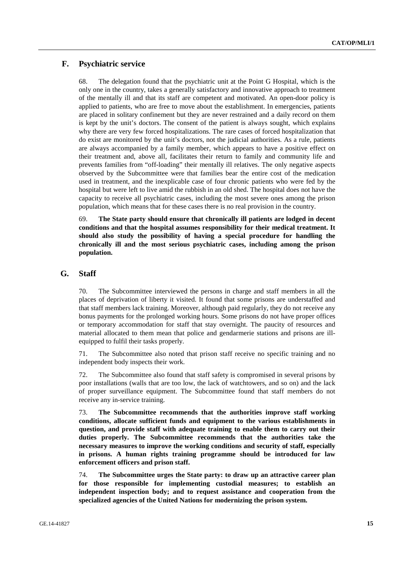## **F. Psychiatric service**

68. The delegation found that the psychiatric unit at the Point G Hospital, which is the only one in the country, takes a generally satisfactory and innovative approach to treatment of the mentally ill and that its staff are competent and motivated. An open-door policy is applied to patients, who are free to move about the establishment. In emergencies, patients are placed in solitary confinement but they are never restrained and a daily record on them is kept by the unit's doctors. The consent of the patient is always sought, which explains why there are very few forced hospitalizations. The rare cases of forced hospitalization that do exist are monitored by the unit's doctors, not the judicial authorities. As a rule, patients are always accompanied by a family member, which appears to have a positive effect on their treatment and, above all, facilitates their return to family and community life and prevents families from "off-loading" their mentally ill relatives. The only negative aspects observed by the Subcommittee were that families bear the entire cost of the medication used in treatment, and the inexplicable case of four chronic patients who were fed by the hospital but were left to live amid the rubbish in an old shed. The hospital does not have the capacity to receive all psychiatric cases, including the most severe ones among the prison population, which means that for these cases there is no real provision in the country.

69. **The State party should ensure that chronically ill patients are lodged in decent conditions and that the hospital assumes responsibility for their medical treatment. It should also study the possibility of having a special procedure for handling the chronically ill and the most serious psychiatric cases, including among the prison population.** 

## **G. Staff**

70. The Subcommittee interviewed the persons in charge and staff members in all the places of deprivation of liberty it visited. It found that some prisons are understaffed and that staff members lack training. Moreover, although paid regularly, they do not receive any bonus payments for the prolonged working hours. Some prisons do not have proper offices or temporary accommodation for staff that stay overnight. The paucity of resources and material allocated to them mean that police and gendarmerie stations and prisons are illequipped to fulfil their tasks properly.

71. The Subcommittee also noted that prison staff receive no specific training and no independent body inspects their work.

72. The Subcommittee also found that staff safety is compromised in several prisons by poor installations (walls that are too low, the lack of watchtowers, and so on) and the lack of proper surveillance equipment. The Subcommittee found that staff members do not receive any in-service training.

73. **The Subcommittee recommends that the authorities improve staff working conditions, allocate sufficient funds and equipment to the various establishments in question, and provide staff with adequate training to enable them to carry out their duties properly. The Subcommittee recommends that the authorities take the necessary measures to improve the working conditions and security of staff, especially in prisons. A human rights training programme should be introduced for law enforcement officers and prison staff.** 

74. **The Subcommittee urges the State party: to draw up an attractive career plan for those responsible for implementing custodial measures; to establish an independent inspection body; and to request assistance and cooperation from the specialized agencies of the United Nations for modernizing the prison system.**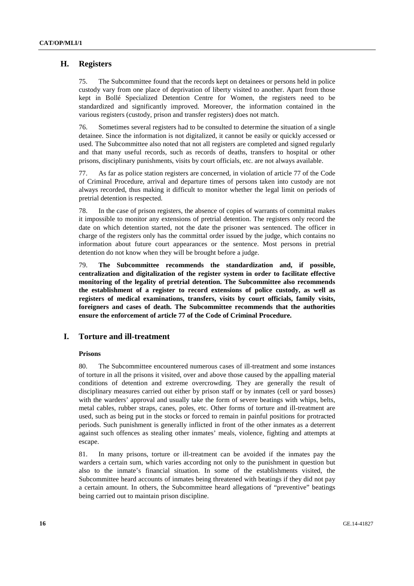## **H. Registers**

75. The Subcommittee found that the records kept on detainees or persons held in police custody vary from one place of deprivation of liberty visited to another. Apart from those kept in Bollé Specialized Detention Centre for Women, the registers need to be standardized and significantly improved. Moreover, the information contained in the various registers (custody, prison and transfer registers) does not match.

76. Sometimes several registers had to be consulted to determine the situation of a single detainee. Since the information is not digitalized, it cannot be easily or quickly accessed or used. The Subcommittee also noted that not all registers are completed and signed regularly and that many useful records, such as records of deaths, transfers to hospital or other prisons, disciplinary punishments, visits by court officials, etc. are not always available.

77. As far as police station registers are concerned, in violation of article 77 of the Code of Criminal Procedure, arrival and departure times of persons taken into custody are not always recorded, thus making it difficult to monitor whether the legal limit on periods of pretrial detention is respected.

78. In the case of prison registers, the absence of copies of warrants of committal makes it impossible to monitor any extensions of pretrial detention. The registers only record the date on which detention started, not the date the prisoner was sentenced. The officer in charge of the registers only has the committal order issued by the judge, which contains no information about future court appearances or the sentence. Most persons in pretrial detention do not know when they will be brought before a judge.

79. **The Subcommittee recommends the standardization and, if possible, centralization and digitalization of the register system in order to facilitate effective monitoring of the legality of pretrial detention. The Subcommittee also recommends the establishment of a register to record extensions of police custody, as well as registers of medical examinations, transfers, visits by court officials, family visits, foreigners and cases of death. The Subcommittee recommends that the authorities ensure the enforcement of article 77 of the Code of Criminal Procedure.** 

## **I. Torture and ill-treatment**

### **Prisons**

80. The Subcommittee encountered numerous cases of ill-treatment and some instances of torture in all the prisons it visited, over and above those caused by the appalling material conditions of detention and extreme overcrowding. They are generally the result of disciplinary measures carried out either by prison staff or by inmates (cell or yard bosses) with the warders' approval and usually take the form of severe beatings with whips, belts, metal cables, rubber straps, canes, poles, etc. Other forms of torture and ill-treatment are used, such as being put in the stocks or forced to remain in painful positions for protracted periods. Such punishment is generally inflicted in front of the other inmates as a deterrent against such offences as stealing other inmates' meals, violence, fighting and attempts at escape.

81. In many prisons, torture or ill-treatment can be avoided if the inmates pay the warders a certain sum, which varies according not only to the punishment in question but also to the inmate's financial situation. In some of the establishments visited, the Subcommittee heard accounts of inmates being threatened with beatings if they did not pay a certain amount. In others, the Subcommittee heard allegations of "preventive" beatings being carried out to maintain prison discipline.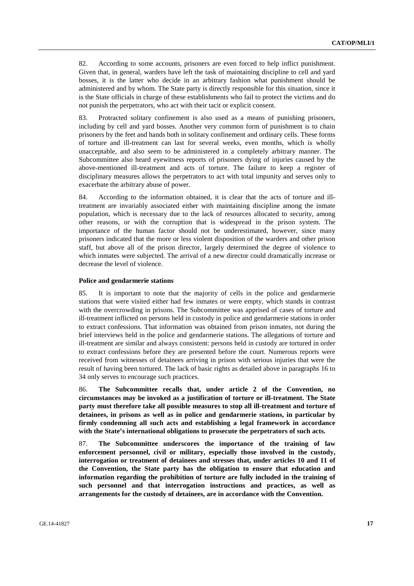82. According to some accounts, prisoners are even forced to help inflict punishment. Given that, in general, warders have left the task of maintaining discipline to cell and yard bosses, it is the latter who decide in an arbitrary fashion what punishment should be administered and by whom. The State party is directly responsible for this situation, since it is the State officials in charge of these establishments who fail to protect the victims and do not punish the perpetrators, who act with their tacit or explicit consent.

83. Protracted solitary confinement is also used as a means of punishing prisoners, including by cell and yard bosses. Another very common form of punishment is to chain prisoners by the feet and hands both in solitary confinement and ordinary cells. These forms of torture and ill-treatment can last for several weeks, even months, which is wholly unacceptable, and also seem to be administered in a completely arbitrary manner. The Subcommittee also heard eyewitness reports of prisoners dying of injuries caused by the above-mentioned ill-treatment and acts of torture. The failure to keep a register of disciplinary measures allows the perpetrators to act with total impunity and serves only to exacerbate the arbitrary abuse of power.

84. According to the information obtained, it is clear that the acts of torture and illtreatment are invariably associated either with maintaining discipline among the inmate population, which is necessary due to the lack of resources allocated to security, among other reasons, or with the corruption that is widespread in the prison system. The importance of the human factor should not be underestimated, however, since many prisoners indicated that the more or less violent disposition of the warders and other prison staff, but above all of the prison director, largely determined the degree of violence to which inmates were subjected. The arrival of a new director could dramatically increase or decrease the level of violence.

#### **Police and gendarmerie stations**

85. It is important to note that the majority of cells in the police and gendarmerie stations that were visited either had few inmates or were empty, which stands in contrast with the overcrowding in prisons. The Subcommittee was apprised of cases of torture and ill-treatment inflicted on persons held in custody in police and gendarmerie stations in order to extract confessions. That information was obtained from prison inmates, not during the brief interviews held in the police and gendarmerie stations. The allegations of torture and ill-treatment are similar and always consistent: persons held in custody are tortured in order to extract confessions before they are presented before the court. Numerous reports were received from witnesses of detainees arriving in prison with serious injuries that were the result of having been tortured. The lack of basic rights as detailed above in paragraphs 16 to 34 only serves to encourage such practices.

86. **The Subcommittee recalls that, under article 2 of the Convention, no circumstances may be invoked as a justification of torture or ill-treatment. The State party must therefore take all possible measures to stop all ill-treatment and torture of detainees, in prisons as well as in police and gendarmerie stations, in particular by firmly condemning all such acts and establishing a legal framework in accordance with the State's international obligations to prosecute the perpetrators of such acts.** 

87. **The Subcommittee underscores the importance of the training of law enforcement personnel, civil or military, especially those involved in the custody, interrogation or treatment of detainees and stresses that, under articles 10 and 11 of the Convention, the State party has the obligation to ensure that education and information regarding the prohibition of torture are fully included in the training of such personnel and that interrogation instructions and practices, as well as arrangements for the custody of detainees, are in accordance with the Convention.**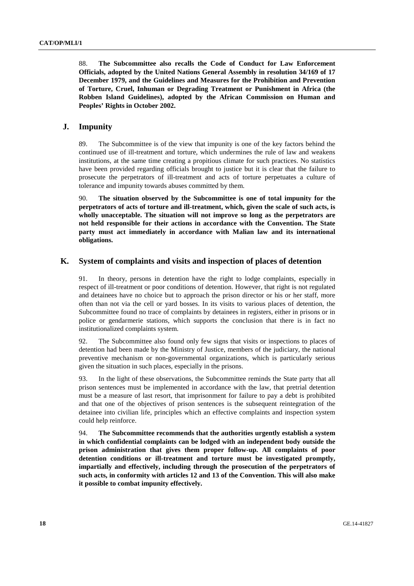88. **The Subcommittee also recalls the Code of Conduct for Law Enforcement Officials, adopted by the United Nations General Assembly in resolution 34/169 of 17 December 1979, and the Guidelines and Measures for the Prohibition and Prevention of Torture, Cruel, Inhuman or Degrading Treatment or Punishment in Africa (the Robben Island Guidelines), adopted by the African Commission on Human and Peoples' Rights in October 2002.** 

## **J. Impunity**

89. The Subcommittee is of the view that impunity is one of the key factors behind the continued use of ill-treatment and torture, which undermines the rule of law and weakens institutions, at the same time creating a propitious climate for such practices. No statistics have been provided regarding officials brought to justice but it is clear that the failure to prosecute the perpetrators of ill-treatment and acts of torture perpetuates a culture of tolerance and impunity towards abuses committed by them.

90. **The situation observed by the Subcommittee is one of total impunity for the perpetrators of acts of torture and ill-treatment, which, given the scale of such acts, is wholly unacceptable. The situation will not improve so long as the perpetrators are not held responsible for their actions in accordance with the Convention. The State party must act immediately in accordance with Malian law and its international obligations.** 

## **K. System of complaints and visits and inspection of places of detention**

91. In theory, persons in detention have the right to lodge complaints, especially in respect of ill-treatment or poor conditions of detention. However, that right is not regulated and detainees have no choice but to approach the prison director or his or her staff, more often than not via the cell or yard bosses. In its visits to various places of detention, the Subcommittee found no trace of complaints by detainees in registers, either in prisons or in police or gendarmerie stations, which supports the conclusion that there is in fact no institutionalized complaints system.

92. The Subcommittee also found only few signs that visits or inspections to places of detention had been made by the Ministry of Justice, members of the judiciary, the national preventive mechanism or non-governmental organizations, which is particularly serious given the situation in such places, especially in the prisons.

93. In the light of these observations, the Subcommittee reminds the State party that all prison sentences must be implemented in accordance with the law, that pretrial detention must be a measure of last resort, that imprisonment for failure to pay a debt is prohibited and that one of the objectives of prison sentences is the subsequent reintegration of the detainee into civilian life, principles which an effective complaints and inspection system could help reinforce.

94. **The Subcommittee recommends that the authorities urgently establish a system in which confidential complaints can be lodged with an independent body outside the prison administration that gives them proper follow-up. All complaints of poor detention conditions or ill-treatment and torture must be investigated promptly, impartially and effectively, including through the prosecution of the perpetrators of such acts, in conformity with articles 12 and 13 of the Convention. This will also make it possible to combat impunity effectively.**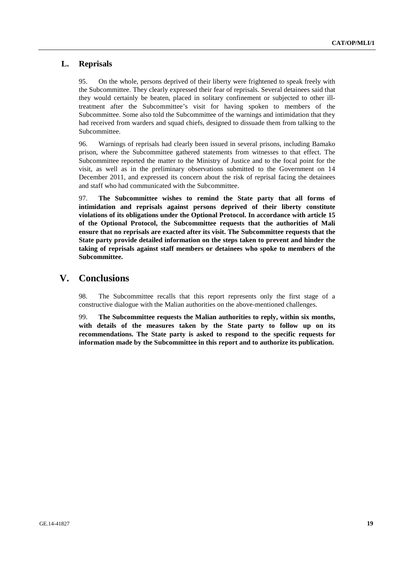## **L. Reprisals**

95. On the whole, persons deprived of their liberty were frightened to speak freely with the Subcommittee. They clearly expressed their fear of reprisals. Several detainees said that they would certainly be beaten, placed in solitary confinement or subjected to other illtreatment after the Subcommittee's visit for having spoken to members of the Subcommittee. Some also told the Subcommittee of the warnings and intimidation that they had received from warders and squad chiefs, designed to dissuade them from talking to the Subcommittee.

96. Warnings of reprisals had clearly been issued in several prisons, including Bamako prison, where the Subcommittee gathered statements from witnesses to that effect. The Subcommittee reported the matter to the Ministry of Justice and to the focal point for the visit, as well as in the preliminary observations submitted to the Government on 14 December 2011, and expressed its concern about the risk of reprisal facing the detainees and staff who had communicated with the Subcommittee.

97. **The Subcommittee wishes to remind the State party that all forms of intimidation and reprisals against persons deprived of their liberty constitute violations of its obligations under the Optional Protocol. In accordance with article 15 of the Optional Protocol, the Subcommittee requests that the authorities of Mali ensure that no reprisals are exacted after its visit. The Subcommittee requests that the State party provide detailed information on the steps taken to prevent and hinder the taking of reprisals against staff members or detainees who spoke to members of the Subcommittee.** 

# **V. Conclusions**

98. The Subcommittee recalls that this report represents only the first stage of a constructive dialogue with the Malian authorities on the above-mentioned challenges.

99. **The Subcommittee requests the Malian authorities to reply, within six months, with details of the measures taken by the State party to follow up on its recommendations. The State party is asked to respond to the specific requests for information made by the Subcommittee in this report and to authorize its publication.**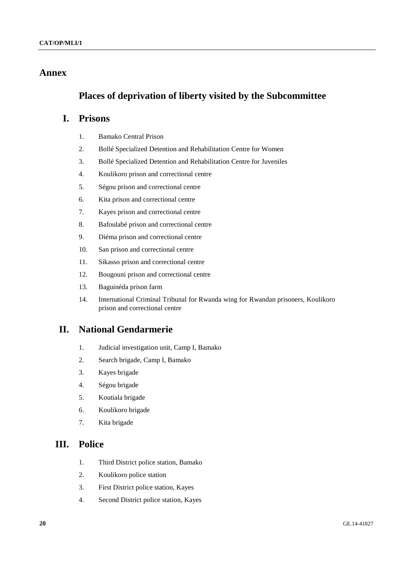# **Annex**

# **Places of deprivation of liberty visited by the Subcommittee**

# **I. Prisons**

- 1. Bamako Central Prison
- 2. Bollé Specialized Detention and Rehabilitation Centre for Women
- 3. Bollé Specialized Detention and Rehabilitation Centre for Juveniles
- 4. Koulikoro prison and correctional centre
- 5. Ségou prison and correctional centre
- 6. Kita prison and correctional centre
- 7. Kayes prison and correctional centre
- 8. Bafoulabé prison and correctional centre
- 9. Diéma prison and correctional centre
- 10. San prison and correctional centre
- 11. Sikasso prison and correctional centre
- 12. Bougouni prison and correctional centre
- 13. Baguinéda prison farm
- 14. International Criminal Tribunal for Rwanda wing for Rwandan prisoners, Koulikoro prison and correctional centre

# **II. National Gendarmerie**

- 1. Judicial investigation unit, Camp I, Bamako
- 2. Search brigade, Camp I, Bamako
- 3. Kayes brigade
- 4. Ségou brigade
- 5. Koutiala brigade
- 6. Koulikoro brigade
- 7. Kita brigade

# **III. Police**

- 1. Third District police station, Bamako
- 2. Koulikoro police station
- 3. First District police station, Kayes
- 4. Second District police station, Kayes